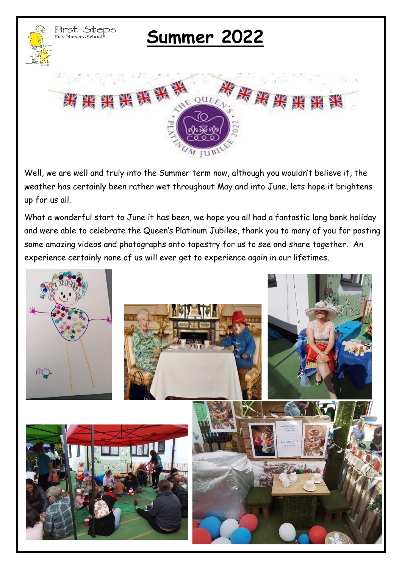

# **Summer 2022**



Well, we are well and truly into the Summer term now, although you wouldn't believe it, the weather has certainly been rather wet throughout May and into June, lets hope it brightens up for us all.

What a wonderful start to June it has been, we hope you all had a fantastic long bank holiday and were able to celebrate the Queen's Platinum Jubilee, thank you to many of you for posting some amazing videos and photographs onto tapestry for us to see and share together. An experience certainly none of us will ever get to experience again in our lifetimes.

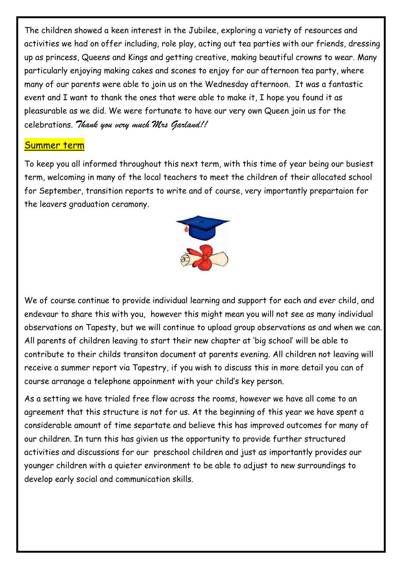The children showed a keen interest in the Jubilee, exploring a variety of resources and activities we had on offer including, role play, acting out tea parties with our friends, dressing up as princess, Queens and Kings and getting creative, making beautiful crowns to wear. Many particularly enjoying making cakes and scones to enjoy for our afternoon tea party, where many of our parents were able to join us on the Wednesday afternoon. It was a fantastic event and I want to thank the ones that were able to make it, I hope you found it as pleasurable as we did. We were fortunate to have our very own Queen join us for the celebrations. *Thank you very much Mrs Garland!!*

#### Summer term

To keep you all informed throughout this next term, with this time of year being our busiest term, welcoming in many of the local teachers to meet the children of their allocated school for September, transition reports to write and of course, very importantly prepartaion for the leavers graduation ceramony.



We of course continue to provide individual learning and support for each and ever child, and endevaur to share this with you, however this might mean you will not see as many individual observations on Tapesty, but we will continue to upload group observations as and when we can. All parents of children leaving to start their new chapter at 'big school' will be able to contribute to their childs transiton document at parents evening. All children not leaving will receive a summer report via Tapestry, if you wish to discuss this in more detail you can of course arranage a telephone appoinment with your child's key person.

As a setting we have trialed free flow across the rooms, however we have all come to an agreement that this structure is not for us. At the beginning of this year we have spent a considerable amount of time separtate and believe this has improved outcomes for many of our children. In turn this has givien us the opportunity to provide further structured activities and discussions for our preschool children and just as importantly provides our younger children with a quieter environment to be able to adjust to new surroundings to develop early social and communication skills.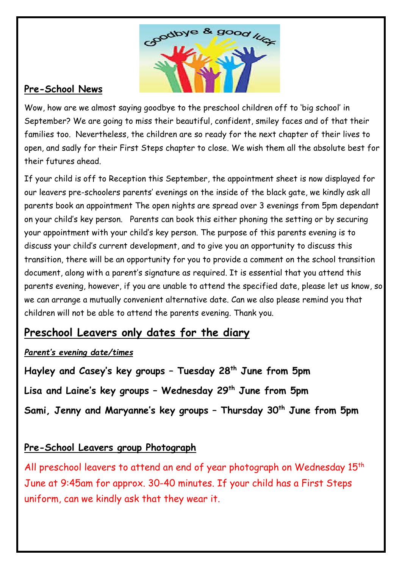

## **Pre-School News**

Wow, how are we almost saying goodbye to the preschool children off to 'big school' in September? We are going to miss their beautiful, confident, smiley faces and of that their families too. Nevertheless, the children are so ready for the next chapter of their lives to open, and sadly for their First Steps chapter to close. We wish them all the absolute best for their futures ahead.

If your child is off to Reception this September, the appointment sheet is now displayed for our leavers pre-schoolers parents' evenings on the inside of the black gate, we kindly ask all parents book an appointment The open nights are spread over 3 evenings from 5pm dependant on your child's key person. Parents can book this either phoning the setting or by securing your appointment with your child's key person. The purpose of this parents evening is to discuss your child's current development, and to give you an opportunity to discuss this transition, there will be an opportunity for you to provide a comment on the school transition document, along with a parent's signature as required. It is essential that you attend this parents evening, however, if you are unable to attend the specified date, please let us know, so we can arrange a mutually convenient alternative date. Can we also please remind you that children will not be able to attend the parents evening. Thank you.

## **Preschool Leavers only dates for the diary**

### *Parent's evening date/times*

**Hayley and Casey's key groups – Tuesday 28th June from 5pm Lisa and Laine's key groups – Wednesday 29th June from 5pm Sami, Jenny and Maryanne's key groups – Thursday 30th June from 5pm**

## **Pre-School Leavers group Photograph**

All preschool leavers to attend an end of year photograph on Wednesday 15<sup>th</sup> June at 9:45am for approx. 30-40 minutes. If your child has a First Steps uniform, can we kindly ask that they wear it.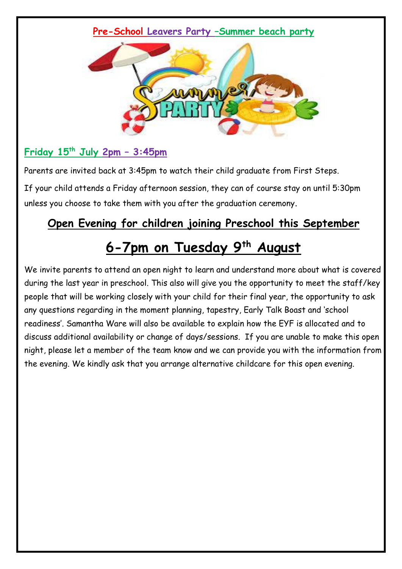#### **Pre-School Leavers Party –Summer beach party**



## **Friday 15th July 2pm – 3:45pm**

Parents are invited back at 3:45pm to watch their child graduate from First Steps.

If your child attends a Friday afternoon session, they can of course stay on until 5:30pm unless you choose to take them with you after the graduation ceremony.

## **Open Evening for children joining Preschool this September**

## **6-7pm on Tuesday 9 th August**

We invite parents to attend an open night to learn and understand more about what is covered during the last year in preschool. This also will give you the opportunity to meet the staff/key people that will be working closely with your child for their final year, the opportunity to ask any questions regarding in the moment planning, tapestry, Early Talk Boast and 'school readiness'. Samantha Ware will also be available to explain how the EYF is allocated and to discuss additional availability or change of days/sessions. If you are unable to make this open night, please let a member of the team know and we can provide you with the information from the evening. We kindly ask that you arrange alternative childcare for this open evening.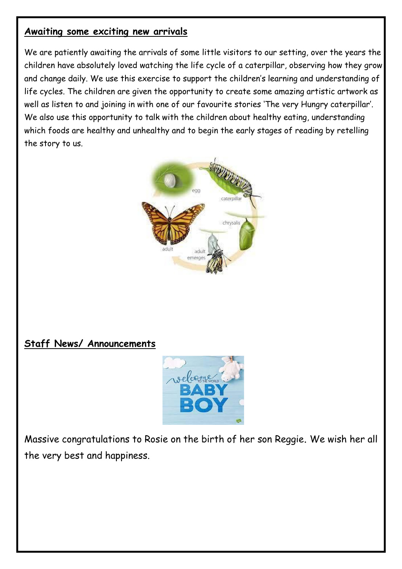### **Awaiting some exciting new arrivals**

We are patiently awaiting the arrivals of some little visitors to our setting, over the years the children have absolutely loved watching the life cycle of a caterpillar, observing how they grow and change daily. We use this exercise to support the children's learning and understanding of life cycles. The children are given the opportunity to create some amazing artistic artwork as well as listen to and joining in with one of our favourite stories 'The very Hungry caterpillar'. We also use this opportunity to talk with the children about healthy eating, understanding which foods are healthy and unhealthy and to begin the early stages of reading by retelling the story to us.



## **Staff News/ Announcements**



Massive congratulations to Rosie on the birth of her son Reggie. We wish her all the very best and happiness.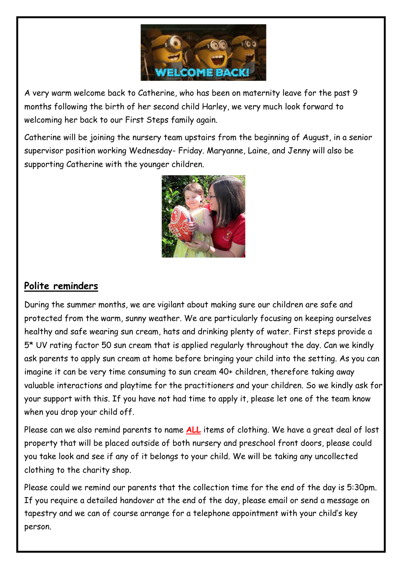

A very warm welcome back to Catherine, who has been on maternity leave for the past 9 months following the birth of her second child Harley, we very much look forward to welcoming her back to our First Steps family again.

Catherine will be joining the nursery team upstairs from the beginning of August, in a senior supervisor position working Wednesday- Friday. Maryanne, Laine, and Jenny will also be supporting Catherine with the younger children.



## **Polite reminders**

During the summer months, we are vigilant about making sure our children are safe and protected from the warm, sunny weather. We are particularly focusing on keeping ourselves healthy and safe wearing sun cream, hats and drinking plenty of water. First steps provide a 5\* UV rating factor 50 sun cream that is applied regularly throughout the day. Can we kindly ask parents to apply sun cream at home before bringing your child into the setting. As you can imagine it can be very time consuming to sun cream 40+ children, therefore taking away valuable interactions and playtime for the practitioners and your children. So we kindly ask for your support with this. If you have not had time to apply it, please let one of the team know when you drop your child off.

Please can we also remind parents to name **ALL** items of clothing. We have a great deal of lost property that will be placed outside of both nursery and preschool front doors, please could you take look and see if any of it belongs to your child. We will be taking any uncollected clothing to the charity shop.

Please could we remind our parents that the collection time for the end of the day is 5:30pm. If you require a detailed handover at the end of the day, please email or send a message on tapestry and we can of course arrange for a telephone appointment with your child's key person.